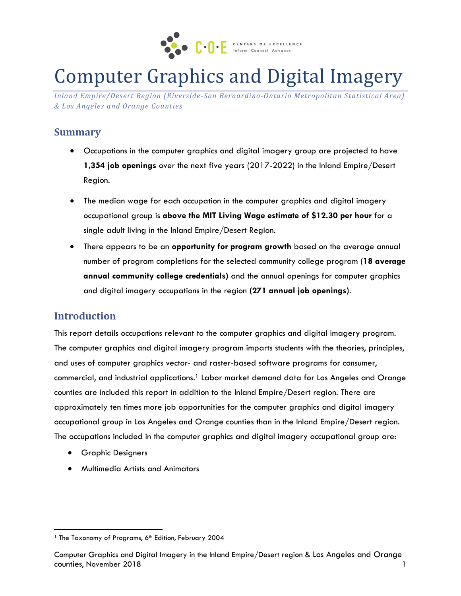

# Computer Graphics and Digital Imagery

*Inland Empire/Desert Region (Riverside-San Bernardino-Ontario Metropolitan Statistical Area) & Los Angeles and Orange Counties*

### **Summary**

- Occupations in the computer graphics and digital imagery group are projected to have **1,354 job openings** over the next five years (2017-2022) in the Inland Empire/Desert Region.
- The median wage for each occupation in the computer graphics and digital imagery occupational group is **above the MIT Living Wage estimate of \$12.30 per hour** for a single adult living in the Inland Empire/Desert Region.
- There appears to be an **opportunity for program growth** based on the average annual number of program completions for the selected community college program (**18 average annual community college credentials)** and the annual openings for computer graphics and digital imagery occupations in the region **(271 annual job openings)**.

# **Introduction**

This report details occupations relevant to the computer graphics and digital imagery program. The computer graphics and digital imagery program imparts students with the theories, principles, and uses of computer graphics vector- and raster-based software programs for consumer, commercial, and industrial applications. <sup>1</sup> Labor market demand data for Los Angeles and Orange counties are included this report in addition to the Inland Empire/Desert region. There are approximately ten times more job opportunities for the computer graphics and digital imagery occupational group in Los Angeles and Orange counties than in the Inland Empire/Desert region. The occupations included in the computer graphics and digital imagery occupational group are:

**•** Graphic Designers

 $\overline{\phantom{a}}$ 

Multimedia Artists and Animators

<sup>&</sup>lt;sup>1</sup> The Taxonomy of Programs, 6<sup>th</sup> Edition, February 2004

Computer Graphics and Digital Imagery in the Inland Empire/Desert region & Los Angeles and Orange counties, November 2018 1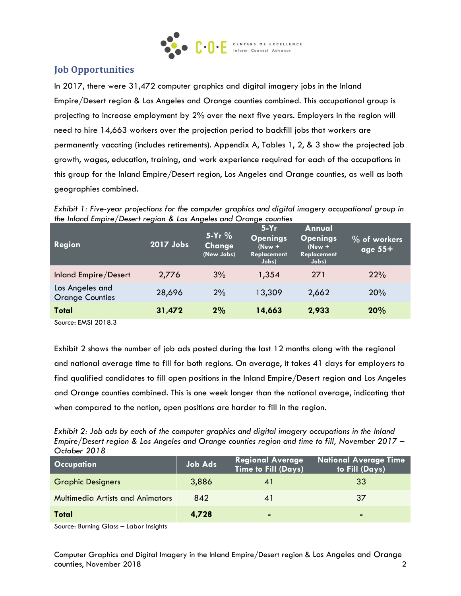

### **Job Opportunities**

In 2017, there were 31,472 computer graphics and digital imagery jobs in the Inland Empire/Desert region & Los Angeles and Orange counties combined. This occupational group is projecting to increase employment by 2% over the next five years. Employers in the region will need to hire 14,663 workers over the projection period to backfill jobs that workers are permanently vacating (includes retirements). Appendix A, Tables 1, 2, & 3 show the projected job growth, wages, education, training, and work experience required for each of the occupations in this group for the Inland Empire/Desert region, Los Angeles and Orange counties, as well as both geographies combined.

*Exhibit 1: Five-year projections for the computer graphics and digital imagery occupational group in the Inland Empire/Desert region & Los Angeles and Orange counties*

| <b>Region</b>                             | 2017 Jobs | $5-Yr$ %<br>Change<br>(New Jobs) | $5-Yr$<br><b>Openings</b><br>$(New +$<br>Replacement<br>Jobs) | Annual<br><b>Openings</b><br>$New +$<br><b>Replacement</b><br>Jobs) | $\%$ of workers<br>age $55+$ |
|-------------------------------------------|-----------|----------------------------------|---------------------------------------------------------------|---------------------------------------------------------------------|------------------------------|
| Inland Empire/Desert                      | 2,776     | 3%                               | 1,354                                                         | 271                                                                 | 22%                          |
| Los Angeles and<br><b>Orange Counties</b> | 28,696    | 2%                               | 13,309                                                        | 2,662                                                               | 20%                          |
| <b>Total</b>                              | 31,472    | 2%                               | 14,663                                                        | 2,933                                                               | 20%                          |

Source: EMSI 2018.3

Exhibit 2 shows the number of job ads posted during the last 12 months along with the regional and national average time to fill for both regions. On average, it takes 41 days for employers to find qualified candidates to fill open positions in the Inland Empire/Desert region and Los Angeles and Orange counties combined. This is one week longer than the national average, indicating that when compared to the nation, open positions are harder to fill in the region.

| Exhibit 2: Job ads by each of the computer graphics and digital imagery occupations in the Inland |
|---------------------------------------------------------------------------------------------------|
| Empire/Desert region & Los Angeles and Orange counties region and time to fill, November 2017 –   |
| October 2018                                                                                      |

| <b>Occupation</b>                       | <b>Job Ads</b> | <b>Regional Average</b><br>Time to Fill (Days) | <b>National Average Time</b><br>to Fill (Days) |
|-----------------------------------------|----------------|------------------------------------------------|------------------------------------------------|
| <b>Graphic Designers</b>                | 3,886          |                                                | 33                                             |
| <b>Multimedia Artists and Animators</b> | 842            |                                                | 37                                             |
| Total                                   | 4,728          | $\blacksquare$                                 | $\blacksquare$                                 |

Source: Burning Glass – Labor Insights

Computer Graphics and Digital Imagery in the Inland Empire/Desert region & Los Angeles and Orange counties, November 2018 2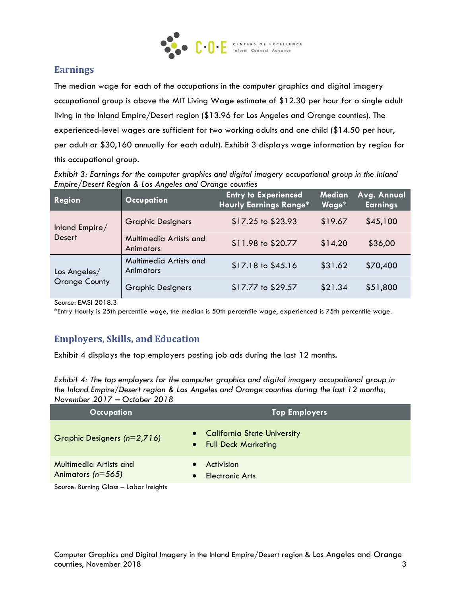

### **Earnings**

The median wage for each of the occupations in the computer graphics and digital imagery occupational group is above the MIT Living Wage estimate of \$12.30 per hour for a single adult living in the Inland Empire/Desert region (\$13.96 for Los Angeles and Orange counties). The experienced-level wages are sufficient for two working adults and one child (\$14.50 per hour, per adult or \$30,160 annually for each adult). Exhibit 3 displays wage information by region for this occupational group.

*Exhibit 3: Earnings for the computer graphics and digital imagery occupational group in the Inland Empire/Desert Region & Los Angeles and Orange counties*

| Region               | <b>Occupation</b>                          | <b>Entry to Experienced</b><br><b>Hourly Earnings Range*</b> | Median<br>Wage* | Avg. Annual<br><b>Earnings</b> |
|----------------------|--------------------------------------------|--------------------------------------------------------------|-----------------|--------------------------------|
| Inland Empire/       | <b>Graphic Designers</b>                   | \$17.25 to \$23.93                                           | \$19.67         | \$45,100                       |
| <b>Desert</b>        | Multimedia Artists and<br><b>Animators</b> | \$11.98 to \$20.77                                           | \$14.20         | \$36,00                        |
| Los Angeles/         | Multimedia Artists and<br><b>Animators</b> | $$17.18$ to $$45.16$                                         | \$31.62         | \$70,400                       |
| <b>Orange County</b> | <b>Graphic Designers</b>                   | \$17.77 to \$29.57                                           | \$21.34         | \$51,800                       |

Source: EMSI 2018.3

\*Entry Hourly is 25th percentile wage, the median is 50th percentile wage, experienced is 75th percentile wage.

# **Employers, Skills, and Education**

Exhibit 4 displays the top employers posting job ads during the last 12 months.

*Exhibit 4: The top employers for the computer graphics and digital imagery occupational group in the Inland Empire/Desert region & Los Angeles and Orange counties during the last 12 months, November 2017 – October 2018*

| <b>Occupation</b>                                                                                   | <b>Top Employers</b>                                                                       |
|-----------------------------------------------------------------------------------------------------|--------------------------------------------------------------------------------------------|
| Graphic Designers (n=2,716)                                                                         | <b>California State University</b><br>$\bullet$<br><b>Full Deck Marketing</b><br>$\bullet$ |
| <b>Multimedia Artists and</b><br>Animators ( $n=565$ )<br>Carrier Drambon Olarer - Labour Instalate | Activision<br><b>Electronic Arts</b><br>$\bullet$                                          |

Source: Burning Glass – Labor Insights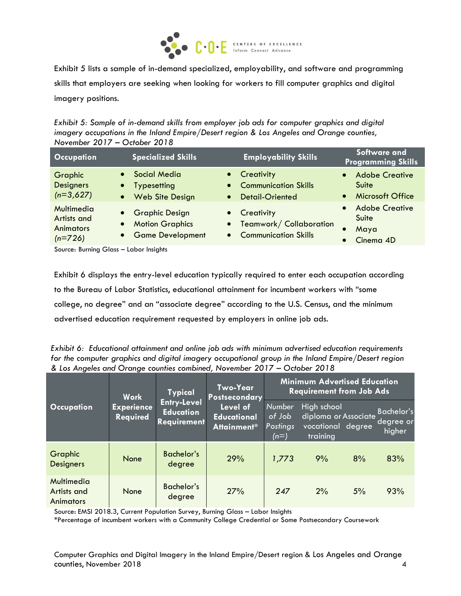

Exhibit 5 lists a sample of in-demand specialized, employability, and software and programming skills that employers are seeking when looking for workers to fill computer graphics and digital imagery positions.

*Exhibit 5: Sample of in-demand skills from employer job ads for computer graphics and digital imagery occupations in the Inland Empire/Desert region & Los Angeles and Orange counties, November 2017 – October 2018*

| <b>Occupation</b>                                          | <b>Specialized Skills</b>                                                                    | <b>Employability Skills</b>                                                   | Software and<br><b>Programming Skills</b>                         |
|------------------------------------------------------------|----------------------------------------------------------------------------------------------|-------------------------------------------------------------------------------|-------------------------------------------------------------------|
| Graphic<br><b>Designers</b><br>$(n=3,627)$                 | <b>Social Media</b><br>$\bullet$<br>Typesetting<br>$\bullet$<br>Web Site Design<br>$\bullet$ | • Creativity<br>• Communication Skills<br><b>Detail-Oriented</b><br>$\bullet$ | <b>Adobe Creative</b><br>$\bullet$<br>Suite<br>• Microsoft Office |
| Multimedia<br>Artists and<br><b>Animators</b><br>$(n=726)$ | • Graphic Design<br><b>Motion Graphics</b><br>$\bullet$<br>• Game Development                | • Creativity<br>• Teamwork/Collaboration<br>• Communication Skills            | <b>Adobe Creative</b><br>Suite<br>Maya<br>Cinema 4D               |

Source: Burning Glass – Labor Insights

Exhibit 6 displays the entry-level education typically required to enter each occupation according to the Bureau of Labor Statistics, educational attainment for incumbent workers with "some college, no degree" and an "associate degree" according to the U.S. Census, and the minimum advertised education requirement requested by employers in online job ads.

*Exhibit 6: Educational attainment and online job ads with minimum advertised education requirements for the computer graphics and digital imagery occupational group in the Inland Empire/Desert region & Los Angeles and Orange counties combined, November 2017 – October 2018*

|                                               | <b>Work</b>                                                                                          | <b>Typical</b>              | <b>Two-Year</b><br><b>Postsecondary</b>       |                                        | <b>Minimum Advertised Education</b><br><b>Requirement from Job Ads</b> |    |                                          |
|-----------------------------------------------|------------------------------------------------------------------------------------------------------|-----------------------------|-----------------------------------------------|----------------------------------------|------------------------------------------------------------------------|----|------------------------------------------|
| <b>Occupation</b>                             | <b>Entry-Level</b><br><b>Experience</b><br><b>Education</b><br><b>Required</b><br><b>Requirement</b> |                             | Level of<br><b>Educational</b><br>Attainment* | Number<br>of Job<br>Postings<br>$(n=)$ | High school<br>diploma or Associate<br>vocational degree<br>training   |    | <b>Bachelor's</b><br>degree or<br>higher |
| <b>Graphic</b><br><b>Designers</b>            | <b>None</b>                                                                                          | <b>Bachelor's</b><br>degree | 29%                                           | 1,773                                  | 9%                                                                     | 8% | 83%                                      |
| Multimedia<br>Artists and<br><b>Animators</b> | None                                                                                                 | Bachelor's<br>degree        | 27%                                           | 247                                    | 2%                                                                     | 5% | 93%                                      |

Source: EMSI 2018.3, Current Population Survey, Burning Glass – Labor Insights

\*Percentage of incumbent workers with a Community College Credential or Some Postsecondary Coursework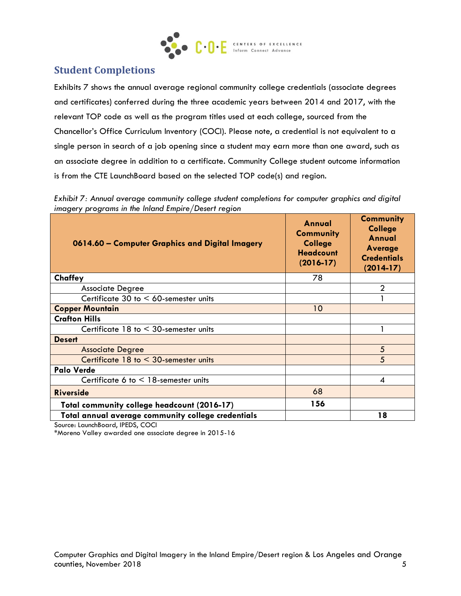

### **Student Completions**

Exhibits 7 shows the annual average regional community college credentials (associate degrees and certificates) conferred during the three academic years between 2014 and 2017, with the relevant TOP code as well as the program titles used at each college, sourced from the Chancellor's Office Curriculum Inventory (COCI). Please note, a credential is not equivalent to a single person in search of a job opening since a student may earn more than one award, such as an associate degree in addition to a certificate. Community College student outcome information is from the CTE LaunchBoard based on the selected TOP code(s) and region.

*Exhibit 7: Annual average community college student completions for computer graphics and digital imagery programs in the Inland Empire/Desert region*

| 0614.60 - Computer Graphics and Digital Imagery    | Annual<br><b>Community</b><br><b>College</b><br><b>Headcount</b><br>$(2016-17)$ | <b>Community</b><br><b>College</b><br>Annual<br>Average<br><b>Credentials</b><br>$(2014-17)$ |
|----------------------------------------------------|---------------------------------------------------------------------------------|----------------------------------------------------------------------------------------------|
| Chaffey                                            | 78                                                                              |                                                                                              |
| <b>Associate Degree</b>                            |                                                                                 | 2                                                                                            |
| Certificate 30 to $<$ 60-semester units            |                                                                                 |                                                                                              |
| <b>Copper Mountain</b>                             | 10                                                                              |                                                                                              |
| <b>Crafton Hills</b>                               |                                                                                 |                                                                                              |
| Certificate $18$ to $\leq 30$ -semester units      |                                                                                 |                                                                                              |
| <b>Desert</b>                                      |                                                                                 |                                                                                              |
| <b>Associate Degree</b>                            |                                                                                 | 5                                                                                            |
| Certificate $18$ to $\leq 30$ -semester units      |                                                                                 | 5                                                                                            |
| <b>Palo Verde</b>                                  |                                                                                 |                                                                                              |
| Certificate 6 to $\leq$ 18-semester units          |                                                                                 | 4                                                                                            |
| <b>Riverside</b>                                   | 68                                                                              |                                                                                              |
| Total community college headcount (2016-17)        | 156                                                                             |                                                                                              |
| Total annual average community college credentials |                                                                                 | 18                                                                                           |

Source: LaunchBoard, IPEDS, COCI

\*Moreno Valley awarded one associate degree in 2015-16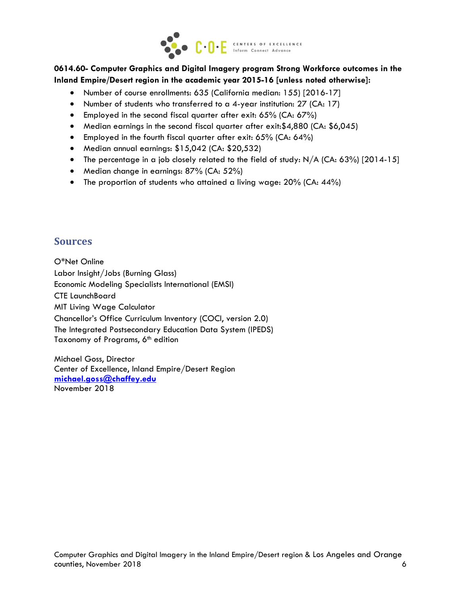

#### **0614.60- Computer Graphics and Digital Imagery program Strong Workforce outcomes in the Inland Empire/Desert region in the academic year 2015-16 [unless noted otherwise]:**

- Number of course enrollments: 635 (California median: 155) [2016-17]
- Number of students who transferred to a 4-year institution: 27 (CA: 17)
- Employed in the second fiscal quarter after exit:  $65\%$  (CA:  $67\%$ )
- Median earnings in the second fiscal quarter after exit:\$4,880 (CA: \$6,045)
- Employed in the fourth fiscal quarter after exit: 65% (CA: 64%)
- Median annual earnings: \$15,042 (CA: \$20,532)
- The percentage in a job closely related to the field of study: N/A (CA: 63%) [2014-15]
- Median change in earnings: 87% (CA: 52%)
- The proportion of students who attained a living wage: 20% (CA: 44%)

#### **Sources**

O\*Net Online Labor Insight/Jobs (Burning Glass) Economic Modeling Specialists International (EMSI) CTE LaunchBoard MIT Living Wage Calculator Chancellor's Office Curriculum Inventory (COCI, version 2.0) The Integrated Postsecondary Education Data System (IPEDS) Taxonomy of Programs, 6<sup>th</sup> edition

Michael Goss, Director Center of Excellence, Inland Empire/Desert Region **[michael.goss@chaffey.edu](mailto:michael.goss@chaffey.edu)** November 2018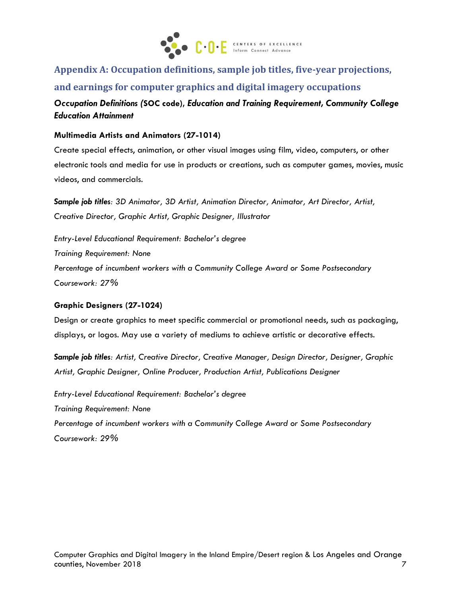

**Appendix A: Occupation definitions, sample job titles, five-year projections, and earnings for computer graphics and digital imagery occupations**

*Occupation Definitions (***SOC code),** *Education and Training Requirement, Community College Education Attainment*

**Multimedia Artists and Animators (27-1014)**

Create special effects, animation, or other visual images using film, video, computers, or other electronic tools and media for use in products or creations, such as computer games, movies, music videos, and commercials.

*Sample job titles: 3D Animator, 3D Artist, Animation Director, Animator, Art Director, Artist, Creative Director, Graphic Artist, Graphic Designer, Illustrator*

*Entry-Level Educational Requirement: Bachelor's degree Training Requirement: None Percentage of incumbent workers with a Community College Award or Some Postsecondary Coursework: 27%*

#### **Graphic Designers (27-1024)**

Design or create graphics to meet specific commercial or promotional needs, such as packaging, displays, or logos. May use a variety of mediums to achieve artistic or decorative effects.

*Sample job titles: Artist, Creative Director, Creative Manager, Design Director, Designer, Graphic Artist, Graphic Designer, Online Producer, Production Artist, Publications Designer*

*Entry-Level Educational Requirement: Bachelor's degree Training Requirement: None Percentage of incumbent workers with a Community College Award or Some Postsecondary Coursework: 29%*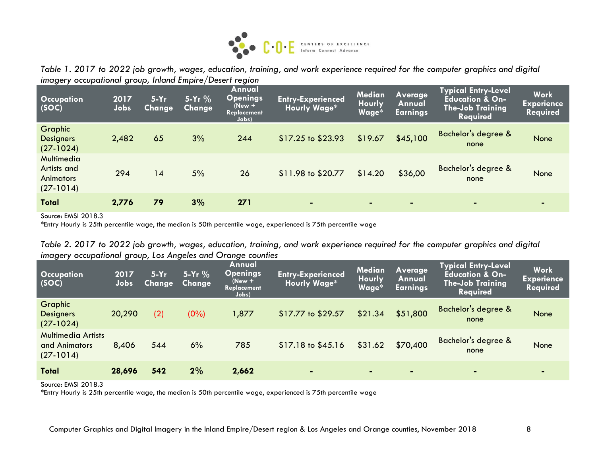

*Table 1. 2017 to 2022 job growth, wages, education, training, and work experience required for the computer graphics and digital imagery occupational group, Inland Empire/Desert region*

| Occupation<br>(SOC)                                          | 2017<br>Jobs | $5-Yr$<br><b>Change</b> | $5-Yr$ %<br><b>Change</b> | Annual<br><b>Openings</b><br>$New +$<br>Replacement<br>Jobs) | <b>Entry-Experienced</b><br><b>Hourly Wage*</b> | <b>Median</b><br>Hourly<br>Wage* | <b>Average</b><br>Annual<br><b>Earnings</b> | <b>Typical Entry-Level</b><br><b>Education &amp; On-</b><br><b>The-Job Training</b><br><b>Required</b> | <b>Work</b><br><b>Experience</b><br><b>Required</b> |
|--------------------------------------------------------------|--------------|-------------------------|---------------------------|--------------------------------------------------------------|-------------------------------------------------|----------------------------------|---------------------------------------------|--------------------------------------------------------------------------------------------------------|-----------------------------------------------------|
| <b>Graphic</b><br><b>Designers</b><br>$(27-1024)$            | 2,482        | 65                      | 3%                        | 244                                                          | $$17.25$ to $$23.93$                            | \$19.67                          | \$45,100                                    | <b>Bachelor's degree &amp;</b><br>none                                                                 | None                                                |
| Multimedia<br>Artists and<br><b>Animators</b><br>$(27-1014)$ | 294          | 14                      | 5%                        | 26                                                           | \$11.98 to \$20.77                              | \$14.20                          | \$36,00                                     | Bachelor's degree &<br>none                                                                            | None                                                |
| <b>Total</b>                                                 | 2,776        | 79                      | 3%                        | 271                                                          | $\blacksquare$                                  | $\blacksquare$                   | $\blacksquare$                              | $\blacksquare$                                                                                         | $\blacksquare$                                      |

Source: EMSI 2018.3

\*Entry Hourly is 25th percentile wage, the median is 50th percentile wage, experienced is 75th percentile wage

|  | Table 2. 2017 to 2022 job growth, wages, education, training, and work experience required for the computer graphics and digital |  |  |  |  |  |
|--|----------------------------------------------------------------------------------------------------------------------------------|--|--|--|--|--|
|  | imagery occupational group, Los Angeles and Orange counties                                                                      |  |  |  |  |  |

| Occupation<br>(SOC)                                       | 2017<br>Jobs | $5-Yr$<br><b>Change</b> | $5-Yr$ %<br><b>Change</b> | Annual<br>Openings<br>$New +$<br>Replacement<br>Jobs) | <b>Entry-Experienced</b><br><b>Hourly Wage*</b> | Median<br><b>Hourly</b><br>Wage* | Average<br>Annual<br><b>Earnings</b> | <b>Typical Entry-Level</b><br><b>Education &amp; On-</b><br><b>The-Job Training</b><br><b>Required</b> | <b>Work</b><br><b>Experience</b><br><b>Required</b> |
|-----------------------------------------------------------|--------------|-------------------------|---------------------------|-------------------------------------------------------|-------------------------------------------------|----------------------------------|--------------------------------------|--------------------------------------------------------------------------------------------------------|-----------------------------------------------------|
| Graphic<br><b>Designers</b><br>$(27-1024)$                | 20,290       | (2)                     | $(0\%)$                   | 1,877                                                 | \$17.77 to \$29.57                              | \$21.34                          | \$51,800                             | <b>Bachelor's degree &amp;</b><br>none                                                                 | None                                                |
| <b>Multimedia Artists</b><br>and Animators<br>$(27-1014)$ | 8,406        | 544                     | 6%                        | 785                                                   | $$17.18$ to $$45.16$                            | \$31.62                          | \$70,400                             | Bachelor's degree &<br>none                                                                            | None                                                |
| <b>Total</b>                                              | 28,696       | 542                     | 2%                        | 2,662                                                 | $\blacksquare$                                  |                                  | $\blacksquare$                       |                                                                                                        | $\blacksquare$                                      |

Source: EMSI 2018.3

\*Entry Hourly is 25th percentile wage, the median is 50th percentile wage, experienced is 75th percentile wage